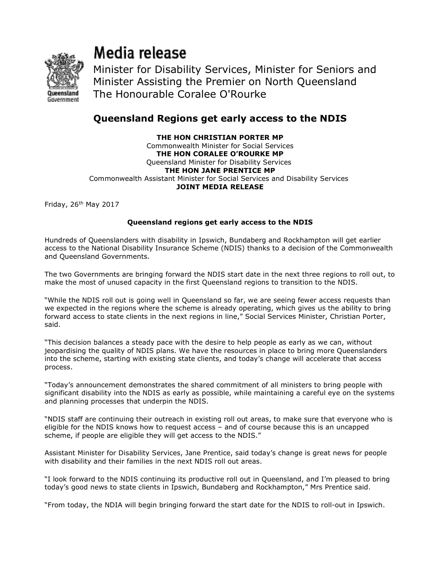

## Media release

Minister for Disability Services, Minister for Seniors and Minister Assisting the Premier on North Queensland The Honourable Coralee O'Rourke

## Queensland Regions get early access to the NDIS

## THE HON CHRISTIAN PORTER MP Commonwealth Minister for Social Services THE HON CORALEE O'ROURKE MP Queensland Minister for Disability Services THE HON JANE PRENTICE MP Commonwealth Assistant Minister for Social Services and Disability Services JOINT MEDIA RELEASE

Friday, 26th May 2017

## Queensland regions get early access to the NDIS

Hundreds of Queenslanders with disability in Ipswich, Bundaberg and Rockhampton will get earlier access to the National Disability Insurance Scheme (NDIS) thanks to a decision of the Commonwealth and Queensland Governments.

The two Governments are bringing forward the NDIS start date in the next three regions to roll out, to make the most of unused capacity in the first Queensland regions to transition to the NDIS.

"While the NDIS roll out is going well in Queensland so far, we are seeing fewer access requests than we expected in the regions where the scheme is already operating, which gives us the ability to bring forward access to state clients in the next regions in line," Social Services Minister, Christian Porter, said.

"This decision balances a steady pace with the desire to help people as early as we can, without jeopardising the quality of NDIS plans. We have the resources in place to bring more Queenslanders into the scheme, starting with existing state clients, and today's change will accelerate that access process.

"Today's announcement demonstrates the shared commitment of all ministers to bring people with significant disability into the NDIS as early as possible, while maintaining a careful eye on the systems and planning processes that underpin the NDIS.

"NDIS staff are continuing their outreach in existing roll out areas, to make sure that everyone who is eligible for the NDIS knows how to request access – and of course because this is an uncapped scheme, if people are eligible they will get access to the NDIS."

Assistant Minister for Disability Services, Jane Prentice, said today's change is great news for people with disability and their families in the next NDIS roll out areas.

"I look forward to the NDIS continuing its productive roll out in Queensland, and I'm pleased to bring today's good news to state clients in Ipswich, Bundaberg and Rockhampton," Mrs Prentice said.

"From today, the NDIA will begin bringing forward the start date for the NDIS to roll-out in Ipswich.